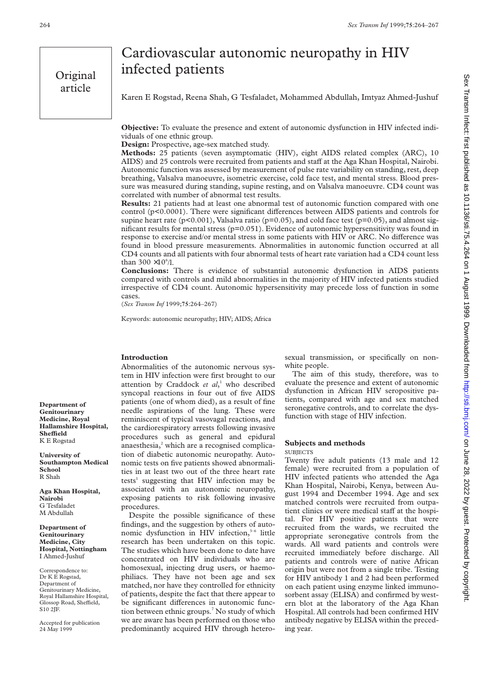Original article

# Cardiovascular autonomic neuropathy in HIV infected patients

Karen E Rogstad, Reena Shah, G Tesfaladet, Mohammed Abdullah, Imtyaz Ahmed-Jushuf

**Objective:** To evaluate the presence and extent of autonomic dysfunction in HIV infected individuals of one ethnic group.

**Design:** Prospective, age-sex matched study.

**Methods:** 25 patients (seven asymptomatic (HIV), eight AIDS related complex (ARC), 10 AIDS) and 25 controls were recruited from patients and staff at the Aga Khan Hospital, Nairobi. Autonomic function was assessed by measurement of pulse rate variability on standing, rest, deep breathing, Valsalva manoeuvre, isometric exercise, cold face test, and mental stress. Blood pressure was measured during standing, supine resting, and on Valsalva manoeuvre. CD4 count was correlated with number of abnormal test results.

**Results:** 21 patients had at least one abnormal test of autonomic function compared with one control (p<0.0001). There were significant differences between AIDS patients and controls for supine heart rate ( $p<0.001$ ), Valsalva ratio ( $p=0.05$ ), and cold face test ( $p=0.05$ ), and almost significant results for mental stress  $(p=0.051)$ . Evidence of autonomic hypersensitivity was found in response to exercise and/or mental stress in some patients with HIV or ARC. No difference was found in blood pressure measurements. Abnormalities in autonomic function occurred at all CD4 counts and all patients with four abnormal tests of heart rate variation had a CD4 count less than  $300 \times 10^6/1$ .

**Conclusions:** There is evidence of substantial autonomic dysfunction in AIDS patients compared with controls and mild abnormalities in the majority of HIV infected patients studied irrespective of CD4 count. Autonomic hypersensitivity may precede loss of function in some cases.

(*Sex Transm Inf* 1999;**75**:264–267)

Keywords: autonomic neuropathy; HIV; AIDS; Africa

## **Introduction**

Abnormalities of the autonomic nervous system in HIV infection were first brought to our attention by Craddock *et al*, <sup>1</sup> who described syncopal reactions in four out of five AIDS patients (one of whom died), as a result of fine needle aspirations of the lung. These were reminiscent of typical vasovagal reactions, and the cardiorespiratory arrests following invasive procedures such as general and epidural anaesthesia, $<sup>2</sup>$  which are a recognised complica-</sup> tion of diabetic autonomic neuropathy. Autonomic tests on five patients showed abnormalities in at least two out of the three heart rate  $tests<sup>1</sup>$  suggesting that HIV infection may be associated with an autonomic neuropathy, exposing patients to risk following invasive procedures.

Despite the possible significance of these findings, and the suggestion by others of autonomic dysfunction in HIV infection, $3-6$  little research has been undertaken on this topic. The studies which have been done to date have concentrated on HIV individuals who are homosexual, injecting drug users, or haemophiliacs. They have not been age and sex matched, nor have they controlled for ethnicity of patients, despite the fact that there appear to be significant differences in autonomic function between ethnic groups.7 No study of which we are aware has been performed on those who predominantly acquired HIV through heterosexual transmission, or specifically on nonwhite people.

The aim of this study, therefore, was to evaluate the presence and extent of autonomic dysfunction in African HIV seropositive patients, compared with age and sex matched seronegative controls, and to correlate the dysfunction with stage of HIV infection.

## **Subjects and methods**

SUBJECTS

Twenty five adult patients (13 male and 12 female) were recruited from a population of HIV infected patients who attended the Aga Khan Hospital, Nairobi, Kenya, between August 1994 and December 1994. Age and sex matched controls were recruited from outpatient clinics or were medical staff at the hospital. For HIV positive patients that were recruited from the wards, we recruited the appropriate seronegative controls from the wards. All ward patients and controls were recruited immediately before discharge. All patients and controls were of native African origin but were not from a single tribe. Testing for HIV antibody 1 and 2 had been performed on each patient using enzyme linked immunosorbent assay (ELISA) and confirmed by western blot at the laboratory of the Aga Khan Hospital. All controls had been confirmed HIV antibody negative by ELISA within the preceding year.

**Department of Genitourinary Medicine, Royal Hallamshire Hospital, SheYeld** K E Rogstad

**University of Southampton Medical School** R Shah

**Aga Khan Hospital, Nairobi** G Tesfaladet M Abdullah

#### **Department of Genitourinary Medicine, City Hospital, Nottingham** I Ahmed-Jushuf

Correspondence to: Dr K E Rogstad, Department of Genitourinary Medicine, Royal Hallamshire Hospital, Glossop Road, Sheffield, S10 2JF.

Accepted for publication 24 May 1999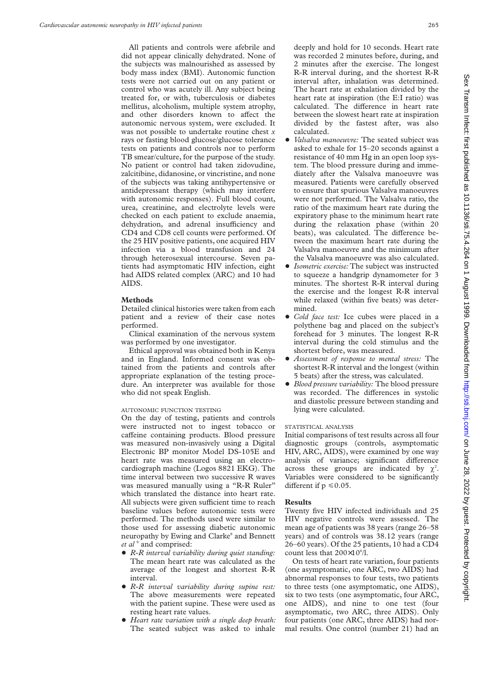All patients and controls were afebrile and did not appear clinically dehydrated. None of the subjects was malnourished as assessed by body mass index (BMI). Autonomic function tests were not carried out on any patient or control who was acutely ill. Any subject being treated for, or with, tuberculosis or diabetes mellitus, alcoholism, multiple system atrophy, and other disorders known to affect the autonomic nervous system, were excluded. It was not possible to undertake routine chest *x* rays or fasting blood glucose/glucose tolerance tests on patients and controls nor to perform TB smear/culture, for the purpose of the study. No patient or control had taken zidovudine, zalcitibine, didanosine, or vincristine, and none of the subjects was taking antihypertensive or antidepressant therapy (which may interfere with autonomic responses). Full blood count, urea, creatinine, and electrolyte levels were checked on each patient to exclude anaemia, dehydration, and adrenal insufficiency and CD4 and CD8 cell counts were performed. Of the 25 HIV positive patients, one acquired HIV infection via a blood transfusion and 24 through heterosexual intercourse. Seven patients had asymptomatic HIV infection, eight had AIDS related complex (ARC) and 10 had AIDS.

### **Methods**

Detailed clinical histories were taken from each patient and a review of their case notes performed.

Clinical examination of the nervous system was performed by one investigator.

Ethical approval was obtained both in Kenya and in England. Informed consent was obtained from the patients and controls after appropriate explanation of the testing procedure. An interpreter was available for those who did not speak English.

### AUTONOMIC FUNCTION TESTING

On the day of testing, patients and controls were instructed not to ingest tobacco or caffeine containing products. Blood pressure was measured non-invasively using a Digital Electronic BP monitor Model DS-105E and heart rate was measured using an electrocardiograph machine (Logos 8821 EKG). The time interval between two successive R waves was measured manually using a "R-R Ruler" which translated the distance into heart rate. All subjects were given sufficient time to reach baseline values before autonomic tests were performed. The methods used were similar to those used for assessing diabetic autonomic neuropathy by Ewing and Clarke<sup>8</sup> and Bennett *et al* <sup>9</sup> and comprised:

- + *R-R interval variability during quiet standing:* The mean heart rate was calculated as the average of the longest and shortest R-R interval.
- + *R-R interval variability during supine rest:* The above measurements were repeated with the patient supine. These were used as resting heart rate values.
- $\bullet$  *Heart rate variation with a single deep breath:* The seated subject was asked to inhale

deeply and hold for 10 seconds. Heart rate was recorded 2 minutes before, during, and 2 minutes after the exercise. The longest R-R interval during, and the shortest R-R interval after, inhalation was determined. The heart rate at exhalation divided by the heart rate at inspiration (the E:I ratio) was calculated. The difference in heart rate between the slowest heart rate at inspiration divided by the fastest after, was also calculated.

- *Valsalva manoeuvre:* The seated subject was asked to exhale for 15–20 seconds against a resistance of 40 mm Hg in an open loop system. The blood pressure during and immediately after the Valsalva manoeuvre was measured. Patients were carefully observed to ensure that spurious Valsalva manoeuvres were not performed. The Valsalva ratio, the ratio of the maximum heart rate during the expiratory phase to the minimum heart rate during the relaxation phase (within 20 beats), was calculated. The difference between the maximum heart rate during the Valsalva manoeuvre and the minimum after the Valsalva manoeuvre was also calculated.
- + *Isometric exercise:* The subject was instructed to squeeze a handgrip dynamometer for 3 minutes. The shortest R-R interval during the exercise and the longest R-R interval while relaxed (within five beats) was determined.
- + *Cold face test:* Ice cubes were placed in a polythene bag and placed on the subject's forehead for 3 minutes. The longest R-R interval during the cold stimulus and the shortest before, was measured.
- + *Assessment of response to mental stress:* The shortest R-R interval and the longest (within 5 beats) after the stress, was calculated.
- + *Blood pressure variability:* The blood pressure was recorded. The differences in systolic and diastolic pressure between standing and lying were calculated.

#### STATISTICAL ANALYSIS

Initial comparisons of test results across all four diagnostic groups (controls, asymptomatic HIV, ARC, AIDS), were examined by one way analysis of variance; significant difference across these groups are indicated by  $\chi^2$ . Variables were considered to be significantly different if  $p \le 0.05$ .

#### **Results**

Twenty five HIV infected individuals and 25 HIV negative controls were assessed. The mean age of patients was 38 years (range 26–58 years) and of controls was 38.12 years (range 26–60 years). Of the 25 patients, 10 had a CD4 count less that  $200\times10^6/1$ .

On tests of heart rate variation, four patients (one asymptomatic, one ARC, two AIDS) had abnormal responses to four tests, two patients to three tests (one asymptomatic, one AIDS), six to two tests (one asymptomatic, four ARC, one AIDS), and nine to one test (four asymptomatic, two ARC, three AIDS). Only four patients (one ARC, three AIDS) had normal results. One control (number 21) had an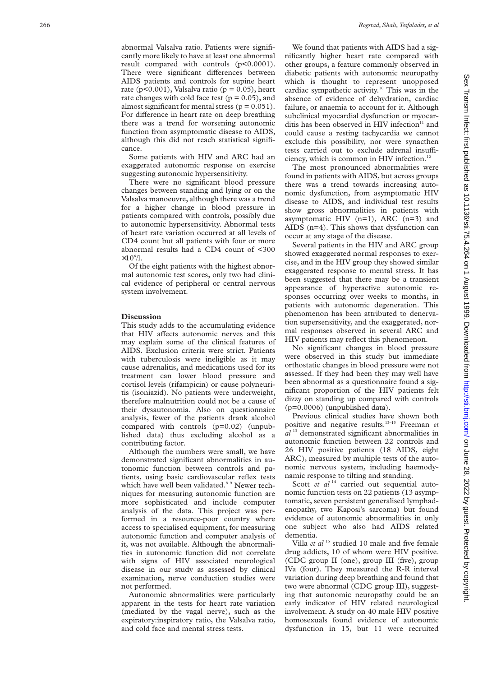abnormal Valsalva ratio. Patients were significantly more likely to have at least one abnormal result compared with controls (p<0.0001). There were significant differences between AIDS patients and controls for supine heart rate (p<0.001), Valsalva ratio (p =  $0.05$ ), heart rate changes with cold face test ( $p = 0.05$ ), and almost significant for mental stress ( $p = 0.051$ ). For difference in heart rate on deep breathing there was a trend for worsening autonomic function from asymptomatic disease to AIDS, although this did not reach statistical significance.

Some patients with HIV and ARC had an exaggerated autonomic response on exercise suggesting autonomic hypersensitivity.

There were no significant blood pressure changes between standing and lying or on the Valsalva manoeuvre, although there was a trend for a higher change in blood pressure in patients compared with controls, possibly due to autonomic hypersensitivity. Abnormal tests of heart rate variation occurred at all levels of CD4 count but all patients with four or more abnormal results had a CD4 count of <300  $\times 10^6$ /l.

Of the eight patients with the highest abnormal autonomic test scores, only two had clinical evidence of peripheral or central nervous system involvement.

#### **Discussion**

This study adds to the accumulating evidence that HIV affects autonomic nerves and this may explain some of the clinical features of AIDS. Exclusion criteria were strict. Patients with tuberculosis were ineligible as it may cause adrenalitis, and medications used for its treatment can lower blood pressure and cortisol levels (rifampicin) or cause polyneuritis (isoniazid). No patients were underweight, therefore malnutrition could not be a cause of their dysautonomia. Also on questionnaire analysis, fewer of the patients drank alcohol compared with controls (p=0.02) (unpublished data) thus excluding alcohol as a contributing factor.

Although the numbers were small, we have demonstrated significant abnormalities in autonomic function between controls and patients, using basic cardiovascular reflex tests which have well been validated.<sup>8 9</sup> Newer techniques for measuring autonomic function are more sophisticated and include computer analysis of the data. This project was performed in a resource-poor country where access to specialised equipment, for measuring autonomic function and computer analysis of it, was not available. Although the abnormalities in autonomic function did not correlate with signs of HIV associated neurological disease in our study as assessed by clinical examination, nerve conduction studies were not performed.

Autonomic abnormalities were particularly apparent in the tests for heart rate variation (mediated by the vagal nerve), such as the expiratory:inspiratory ratio, the Valsalva ratio, and cold face and mental stress tests.

We found that patients with AIDS had a significantly higher heart rate compared with other groups, a feature commonly observed in diabetic patients with autonomic neuropathy which is thought to represent unopposed cardiac sympathetic activity.10 This was in the absence of evidence of dehydration, cardiac failure, or anaemia to account for it. Although subclinical myocardial dysfunction or myocarditis has been observed in HIV infection $11$  and could cause a resting tachycardia we cannot exclude this possibility, nor were synacthen tests carried out to exclude adrenal insufficiency, which is common in HIV infection.<sup>12</sup>

The most pronounced abnormalities were found in patients with AIDS, but across groups there was a trend towards increasing autonomic dysfunction, from asymptomatic HIV disease to AIDS, and individual test results show gross abnormalities in patients with asymptomatic HIV  $(n=1)$ , ARC  $(n=3)$  and AIDS (n=4). This shows that dysfunction can occur at any stage of the disease.

Several patients in the HIV and ARC group showed exaggerated normal responses to exercise, and in the HIV group they showed similar exaggerated response to mental stress. It has been suggested that there may be a transient appearance of hyperactive autonomic responses occurring over weeks to months, in patients with autonomic degeneration. This phenomenon has been attributed to denervation supersensitivity, and the exaggerated, normal responses observed in several ARC and HIV patients may reflect this phenomenon.

No significant changes in blood pressure were observed in this study but immediate orthostatic changes in blood pressure were not assessed. If they had been they may well have been abnormal as a questionnaire found a significant proportion of the HIV patients felt dizzy on standing up compared with controls (p=0.0006) (unpublished data).

Previous clinical studies have shown both positive and negative results.13–15 Freeman *et al* <sup>13</sup> demonstrated significant abnormalities in autonomic function between 22 controls and 26 HIV positive patients (18 AIDS, eight ARC), measured by multiple tests of the autonomic nervous system, including haemodynamic response to tilting and standing.

Scott *et al*<sup>14</sup> carried out sequential autonomic function tests on 22 patients (13 asymptomatic, seven persistent generalised lymphadenopathy, two Kaposi's sarcoma) but found evidence of autonomic abnormalities in only one subject who also had AIDS related dementia.

Villa *et al* <sup>15</sup> studied 10 male and five female drug addicts, 10 of whom were HIV positive. (CDC group II (one), group III (five), group IVa (four). They measured the R-R interval variation during deep breathing and found that two were abnormal (CDC group III), suggesting that autonomic neuropathy could be an early indicator of HIV related neurological involvement. A study on 40 male HIV positive homosexuals found evidence of autonomic dysfunction in 15, but 11 were recruited